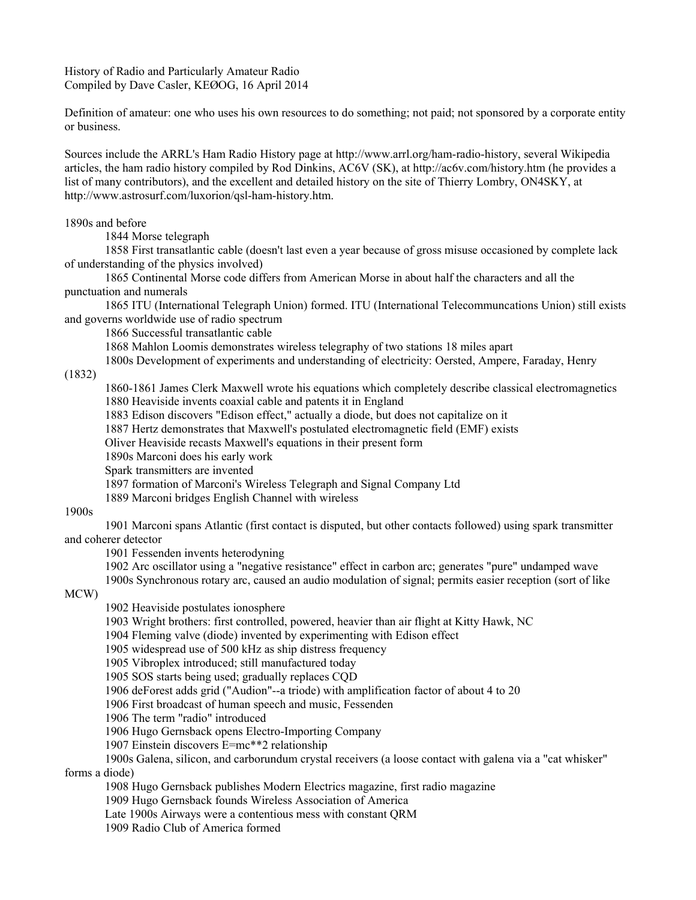History of Radio and Particularly Amateur Radio Compiled by Dave Casler, KEØOG, 16 April 2014

Definition of amateur: one who uses his own resources to do something; not paid; not sponsored by a corporate entity or business.

Sources include the ARRL's Ham Radio History page at http://www.arrl.org/ham-radio-history, several Wikipedia articles, the ham radio history compiled by Rod Dinkins, AC6V (SK), at http://ac6v.com/history.htm (he provides a list of many contributors), and the excellent and detailed history on the site of Thierry Lombry, ON4SKY, at http://www.astrosurf.com/luxorion/qsl-ham-history.htm.

1890s and before

1844 Morse telegraph

1858 First transatlantic cable (doesn't last even a year because of gross misuse occasioned by complete lack of understanding of the physics involved)

1865 Continental Morse code differs from American Morse in about half the characters and all the punctuation and numerals

1865 ITU (International Telegraph Union) formed. ITU (International Telecommuncations Union) still exists and governs worldwide use of radio spectrum

1866 Successful transatlantic cable

1868 Mahlon Loomis demonstrates wireless telegraphy of two stations 18 miles apart

1800s Development of experiments and understanding of electricity: Oersted, Ampere, Faraday, Henry

(1832)

1860-1861 James Clerk Maxwell wrote his equations which completely describe classical electromagnetics 1880 Heaviside invents coaxial cable and patents it in England

1883 Edison discovers "Edison effect," actually a diode, but does not capitalize on it

1887 Hertz demonstrates that Maxwell's postulated electromagnetic field (EMF) exists

Oliver Heaviside recasts Maxwell's equations in their present form

1890s Marconi does his early work

Spark transmitters are invented

1897 formation of Marconi's Wireless Telegraph and Signal Company Ltd

1889 Marconi bridges English Channel with wireless

## 1900s

1901 Marconi spans Atlantic (first contact is disputed, but other contacts followed) using spark transmitter and coherer detector

1901 Fessenden invents heterodyning

1902 Arc oscillator using a "negative resistance" effect in carbon arc; generates "pure" undamped wave

1900s Synchronous rotary arc, caused an audio modulation of signal; permits easier reception (sort of like

MCW)

1902 Heaviside postulates ionosphere

1903 Wright brothers: first controlled, powered, heavier than air flight at Kitty Hawk, NC

1904 Fleming valve (diode) invented by experimenting with Edison effect

1905 widespread use of 500 kHz as ship distress frequency

1905 Vibroplex introduced; still manufactured today

1905 SOS starts being used; gradually replaces CQD

1906 deForest adds grid ("Audion"--a triode) with amplification factor of about 4 to 20

1906 First broadcast of human speech and music, Fessenden

1906 The term "radio" introduced

1906 Hugo Gernsback opens Electro-Importing Company

1907 Einstein discovers E=mc\*\*2 relationship

1900s Galena, silicon, and carborundum crystal receivers (a loose contact with galena via a "cat whisker" forms a diode)

1908 Hugo Gernsback publishes Modern Electrics magazine, first radio magazine

1909 Hugo Gernsback founds Wireless Association of America

Late 1900s Airways were a contentious mess with constant QRM

1909 Radio Club of America formed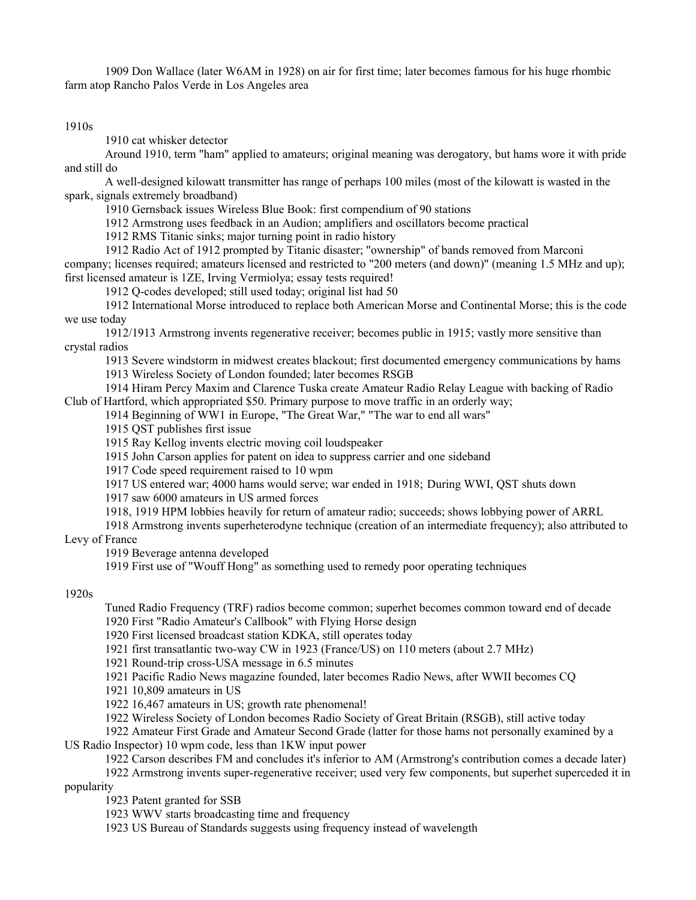1909 Don Wallace (later W6AM in 1928) on air for first time; later becomes famous for his huge rhombic farm atop Rancho Palos Verde in Los Angeles area

1910s

1910 cat whisker detector

Around 1910, term "ham" applied to amateurs; original meaning was derogatory, but hams wore it with pride and still do

A well-designed kilowatt transmitter has range of perhaps 100 miles (most of the kilowatt is wasted in the spark, signals extremely broadband)

1910 Gernsback issues Wireless Blue Book: first compendium of 90 stations

1912 Armstrong uses feedback in an Audion; amplifiers and oscillators become practical

1912 RMS Titanic sinks; major turning point in radio history

1912 Radio Act of 1912 prompted by Titanic disaster; "ownership" of bands removed from Marconi company; licenses required; amateurs licensed and restricted to "200 meters (and down)" (meaning 1.5 MHz and up); first licensed amateur is 1ZE, Irving Vermiolya; essay tests required!

1912 Q-codes developed; still used today; original list had 50

1912 International Morse introduced to replace both American Morse and Continental Morse; this is the code we use today

1912/1913 Armstrong invents regenerative receiver; becomes public in 1915; vastly more sensitive than crystal radios

1913 Severe windstorm in midwest creates blackout; first documented emergency communications by hams

1913 Wireless Society of London founded; later becomes RSGB

1914 Hiram Percy Maxim and Clarence Tuska create Amateur Radio Relay League with backing of Radio Club of Hartford, which appropriated \$50. Primary purpose to move traffic in an orderly way;

1914 Beginning of WW1 in Europe, "The Great War," "The war to end all wars"

1915 QST publishes first issue

1915 Ray Kellog invents electric moving coil loudspeaker

1915 John Carson applies for patent on idea to suppress carrier and one sideband

1917 Code speed requirement raised to 10 wpm

1917 US entered war; 4000 hams would serve; war ended in 1918; During WWI, QST shuts down

1917 saw 6000 amateurs in US armed forces

1918, 1919 HPM lobbies heavily for return of amateur radio; succeeds; shows lobbying power of ARRL

1918 Armstrong invents superheterodyne technique (creation of an intermediate frequency); also attributed to Levy of France

1919 Beverage antenna developed

1919 First use of "Wouff Hong" as something used to remedy poor operating techniques

# 1920s

Tuned Radio Frequency (TRF) radios become common; superhet becomes common toward end of decade 1920 First "Radio Amateur's Callbook" with Flying Horse design

1920 First licensed broadcast station KDKA, still operates today

1921 first transatlantic two-way CW in 1923 (France/US) on 110 meters (about 2.7 MHz)

1921 Round-trip cross-USA message in 6.5 minutes

1921 Pacific Radio News magazine founded, later becomes Radio News, after WWII becomes CQ

1921 10,809 amateurs in US

1922 16,467 amateurs in US; growth rate phenomenal!

1922 Wireless Society of London becomes Radio Society of Great Britain (RSGB), still active today

1922 Amateur First Grade and Amateur Second Grade (latter for those hams not personally examined by a US Radio Inspector) 10 wpm code, less than 1KW input power

1922 Carson describes FM and concludes it's inferior to AM (Armstrong's contribution comes a decade later)

1922 Armstrong invents super-regenerative receiver; used very few components, but superhet superceded it in popularity

1923 Patent granted for SSB

1923 WWV starts broadcasting time and frequency

1923 US Bureau of Standards suggests using frequency instead of wavelength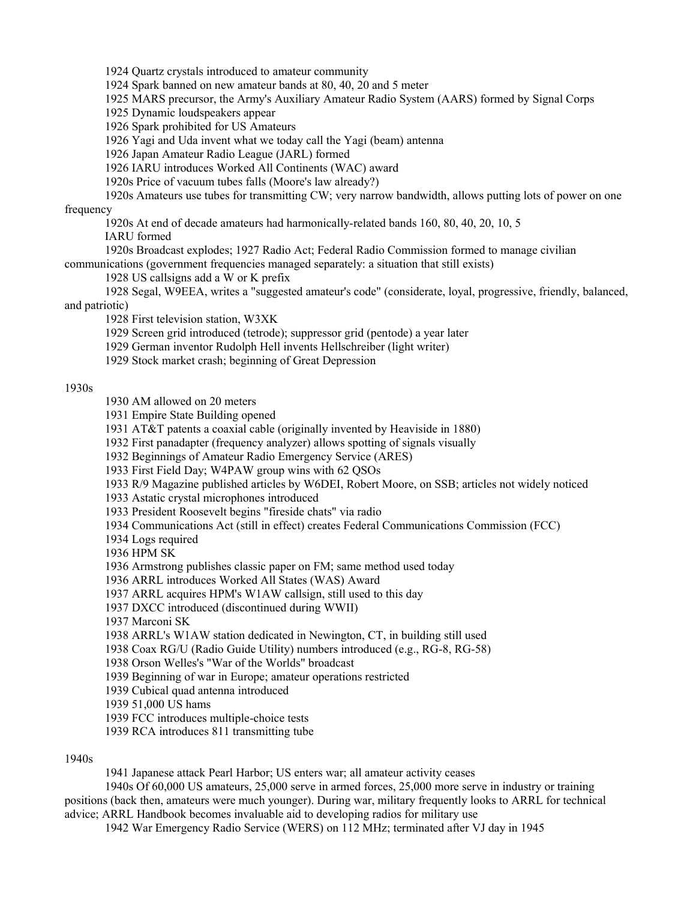1924 Quartz crystals introduced to amateur community

1924 Spark banned on new amateur bands at 80, 40, 20 and 5 meter

1925 MARS precursor, the Army's Auxiliary Amateur Radio System (AARS) formed by Signal Corps

1925 Dynamic loudspeakers appear

1926 Spark prohibited for US Amateurs

1926 Yagi and Uda invent what we today call the Yagi (beam) antenna

1926 Japan Amateur Radio League (JARL) formed

1926 IARU introduces Worked All Continents (WAC) award

1920s Price of vacuum tubes falls (Moore's law already?)

1920s Amateurs use tubes for transmitting CW; very narrow bandwidth, allows putting lots of power on one

frequency

1920s At end of decade amateurs had harmonically-related bands 160, 80, 40, 20, 10, 5

IARU formed

1920s Broadcast explodes; 1927 Radio Act; Federal Radio Commission formed to manage civilian

communications (government frequencies managed separately: a situation that still exists)

1928 US callsigns add a W or K prefix

1928 Segal, W9EEA, writes a "suggested amateur's code" (considerate, loyal, progressive, friendly, balanced, and patriotic)

1928 First television station, W3XK

1929 Screen grid introduced (tetrode); suppressor grid (pentode) a year later

1929 German inventor Rudolph Hell invents Hellschreiber (light writer)

1929 Stock market crash; beginning of Great Depression

## 1930s

1930 AM allowed on 20 meters

1931 Empire State Building opened

1931 AT&T patents a coaxial cable (originally invented by Heaviside in 1880)

1932 First panadapter (frequency analyzer) allows spotting of signals visually

1932 Beginnings of Amateur Radio Emergency Service (ARES)

1933 First Field Day; W4PAW group wins with 62 QSOs

1933 R/9 Magazine published articles by W6DEI, Robert Moore, on SSB; articles not widely noticed

1933 Astatic crystal microphones introduced

1933 President Roosevelt begins "fireside chats" via radio

1934 Communications Act (still in effect) creates Federal Communications Commission (FCC)

1934 Logs required

1936 HPM SK

1936 Armstrong publishes classic paper on FM; same method used today

1936 ARRL introduces Worked All States (WAS) Award

1937 ARRL acquires HPM's W1AW callsign, still used to this day

1937 DXCC introduced (discontinued during WWII)

1937 Marconi SK

1938 ARRL's W1AW station dedicated in Newington, CT, in building still used

1938 Coax RG/U (Radio Guide Utility) numbers introduced (e.g., RG-8, RG-58)

1938 Orson Welles's "War of the Worlds" broadcast

1939 Beginning of war in Europe; amateur operations restricted

1939 Cubical quad antenna introduced

1939 51,000 US hams

1939 FCC introduces multiple-choice tests

1939 RCA introduces 811 transmitting tube

# 1940s

1941 Japanese attack Pearl Harbor; US enters war; all amateur activity ceases

1940s Of 60,000 US amateurs, 25,000 serve in armed forces, 25,000 more serve in industry or training positions (back then, amateurs were much younger). During war, military frequently looks to ARRL for technical advice; ARRL Handbook becomes invaluable aid to developing radios for military use

1942 War Emergency Radio Service (WERS) on 112 MHz; terminated after VJ day in 1945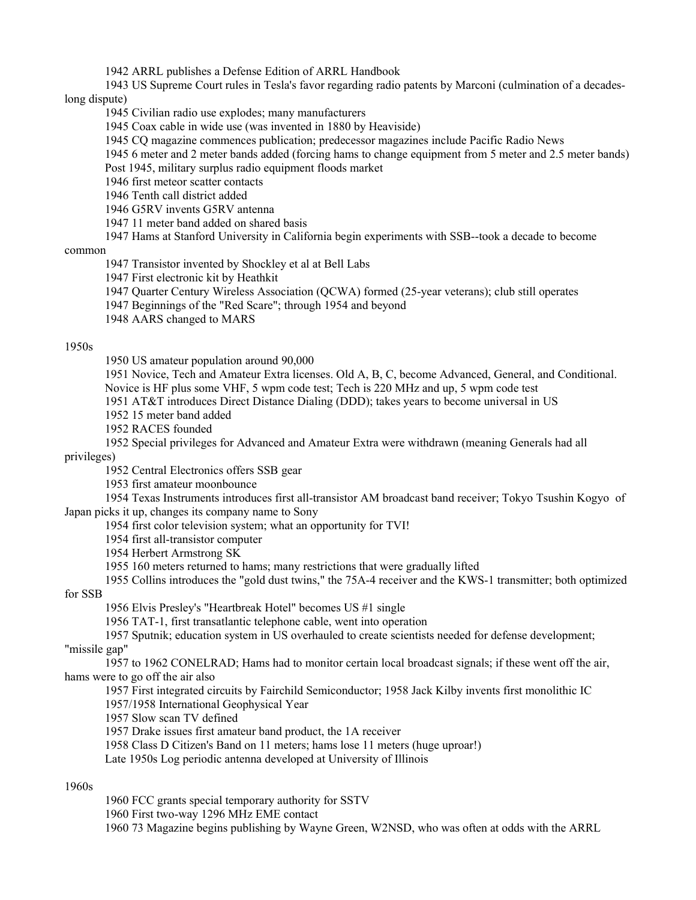1942 ARRL publishes a Defense Edition of ARRL Handbook

1943 US Supreme Court rules in Tesla's favor regarding radio patents by Marconi (culmination of a decadeslong dispute)

1945 Civilian radio use explodes; many manufacturers

1945 Coax cable in wide use (was invented in 1880 by Heaviside)

1945 CQ magazine commences publication; predecessor magazines include Pacific Radio News

1945 6 meter and 2 meter bands added (forcing hams to change equipment from 5 meter and 2.5 meter bands)

Post 1945, military surplus radio equipment floods market

1946 first meteor scatter contacts

1946 Tenth call district added

1946 G5RV invents G5RV antenna

1947 11 meter band added on shared basis

1947 Hams at Stanford University in California begin experiments with SSB--took a decade to become

### common

1947 Transistor invented by Shockley et al at Bell Labs

1947 First electronic kit by Heathkit

1947 Quarter Century Wireless Association (QCWA) formed (25-year veterans); club still operates

1947 Beginnings of the "Red Scare"; through 1954 and beyond

1948 AARS changed to MARS

## 1950s

1950 US amateur population around 90,000

1951 Novice, Tech and Amateur Extra licenses. Old A, B, C, become Advanced, General, and Conditional. Novice is HF plus some VHF, 5 wpm code test; Tech is 220 MHz and up, 5 wpm code test

1951 AT&T introduces Direct Distance Dialing (DDD); takes years to become universal in US

1952 15 meter band added

1952 RACES founded

1952 Special privileges for Advanced and Amateur Extra were withdrawn (meaning Generals had all privileges)

1952 Central Electronics offers SSB gear

1953 first amateur moonbounce

1954 Texas Instruments introduces first all-transistor AM broadcast band receiver; Tokyo Tsushin Kogyo of Japan picks it up, changes its company name to Sony

1954 first color television system; what an opportunity for TVI!

1954 first all-transistor computer

1954 Herbert Armstrong SK

1955 160 meters returned to hams; many restrictions that were gradually lifted

1955 Collins introduces the "gold dust twins," the 75A-4 receiver and the KWS-1 transmitter; both optimized for SSB

1956 Elvis Presley's "Heartbreak Hotel" becomes US #1 single

1956 TAT-1, first transatlantic telephone cable, went into operation

1957 Sputnik; education system in US overhauled to create scientists needed for defense development;

"missile gap"

1957 to 1962 CONELRAD; Hams had to monitor certain local broadcast signals; if these went off the air, hams were to go off the air also

1957 First integrated circuits by Fairchild Semiconductor; 1958 Jack Kilby invents first monolithic IC

1957/1958 International Geophysical Year

1957 Slow scan TV defined

1957 Drake issues first amateur band product, the 1A receiver

1958 Class D Citizen's Band on 11 meters; hams lose 11 meters (huge uproar!)

Late 1950s Log periodic antenna developed at University of Illinois

1960s

1960 FCC grants special temporary authority for SSTV

1960 First two-way 1296 MHz EME contact

1960 73 Magazine begins publishing by Wayne Green, W2NSD, who was often at odds with the ARRL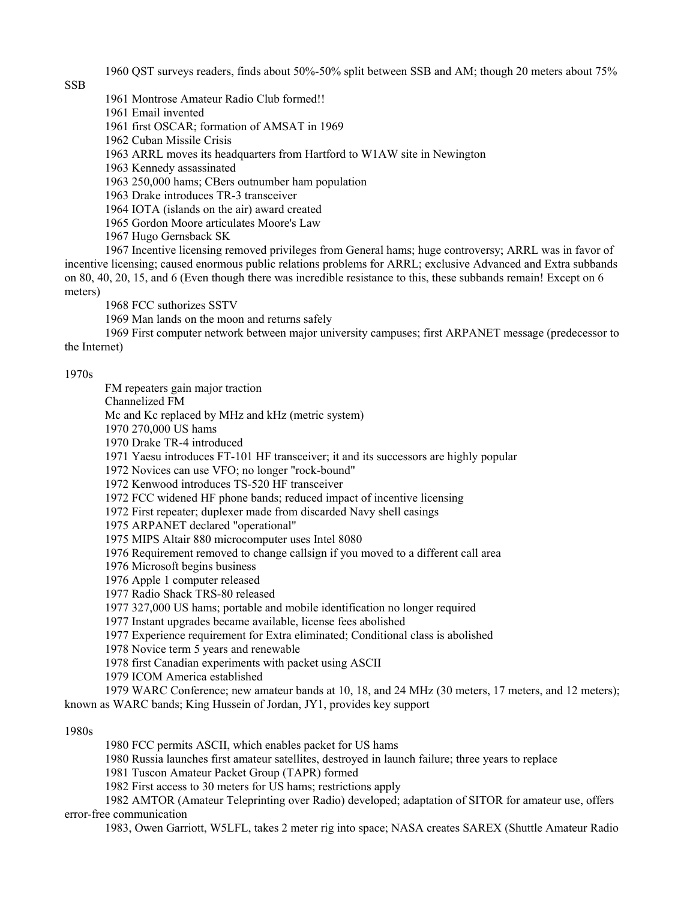1960 QST surveys readers, finds about 50%-50% split between SSB and AM; though 20 meters about 75%

SSB

1961 Montrose Amateur Radio Club formed!!

1961 Email invented

1961 first OSCAR; formation of AMSAT in 1969

1962 Cuban Missile Crisis

1963 ARRL moves its headquarters from Hartford to W1AW site in Newington

1963 Kennedy assassinated

1963 250,000 hams; CBers outnumber ham population

1963 Drake introduces TR-3 transceiver

1964 IOTA (islands on the air) award created

1965 Gordon Moore articulates Moore's Law

1967 Hugo Gernsback SK

1967 Incentive licensing removed privileges from General hams; huge controversy; ARRL was in favor of incentive licensing; caused enormous public relations problems for ARRL; exclusive Advanced and Extra subbands on 80, 40, 20, 15, and 6 (Even though there was incredible resistance to this, these subbands remain! Except on 6 meters)

1968 FCC suthorizes SSTV

1969 Man lands on the moon and returns safely

1969 First computer network between major university campuses; first ARPANET message (predecessor to the Internet)

1970s

FM repeaters gain major traction Channelized FM Mc and Kc replaced by MHz and kHz (metric system) 1970 270,000 US hams 1970 Drake TR-4 introduced 1971 Yaesu introduces FT-101 HF transceiver; it and its successors are highly popular 1972 Novices can use VFO; no longer "rock-bound" 1972 Kenwood introduces TS-520 HF transceiver 1972 FCC widened HF phone bands; reduced impact of incentive licensing 1972 First repeater; duplexer made from discarded Navy shell casings 1975 ARPANET declared "operational" 1975 MIPS Altair 880 microcomputer uses Intel 8080 1976 Requirement removed to change callsign if you moved to a different call area 1976 Microsoft begins business 1976 Apple 1 computer released 1977 Radio Shack TRS-80 released 1977 327,000 US hams; portable and mobile identification no longer required 1977 Instant upgrades became available, license fees abolished 1977 Experience requirement for Extra eliminated; Conditional class is abolished 1978 Novice term 5 years and renewable 1978 first Canadian experiments with packet using ASCII 1979 ICOM America established 1979 WARC Conference; new amateur bands at 10, 18, and 24 MHz (30 meters, 17 meters, and 12 meters); known as WARC bands; King Hussein of Jordan, JY1, provides key support

1980s

1980 FCC permits ASCII, which enables packet for US hams

1980 Russia launches first amateur satellites, destroyed in launch failure; three years to replace

1981 Tuscon Amateur Packet Group (TAPR) formed

1982 First access to 30 meters for US hams; restrictions apply

1982 AMTOR (Amateur Teleprinting over Radio) developed; adaptation of SITOR for amateur use, offers error-free communication

1983, Owen Garriott, W5LFL, takes 2 meter rig into space; NASA creates SAREX (Shuttle Amateur Radio